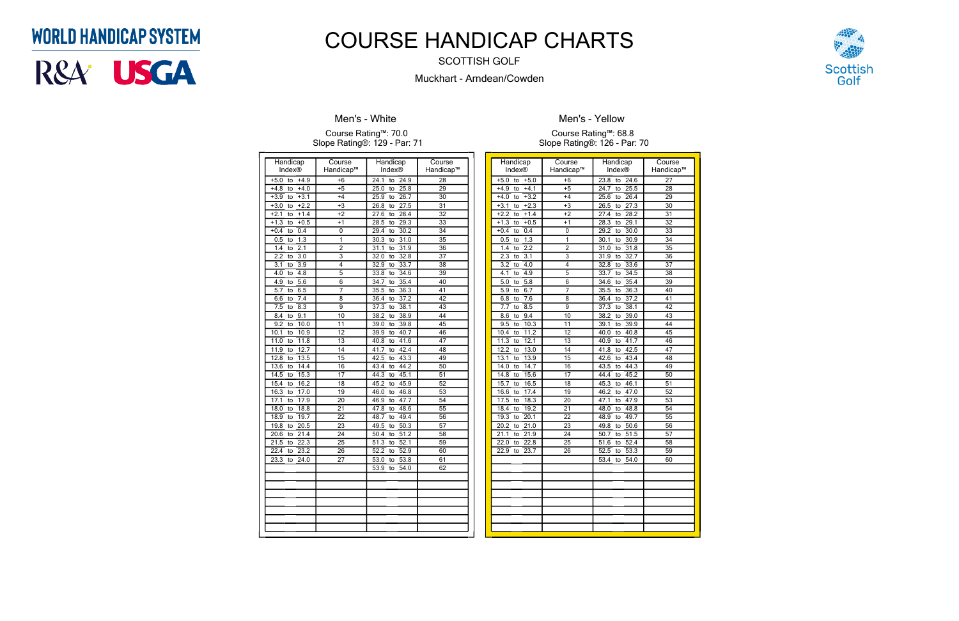| Handicap<br>Index®                   | Course<br>Handicap™ | Handicap<br><b>Index®</b>  | Course<br>Handicap™   |
|--------------------------------------|---------------------|----------------------------|-----------------------|
|                                      |                     |                            |                       |
| $+5.0$<br>$+4.9$<br>to               | $+6$                | 24.1<br>24.9<br>to         | 28                    |
| $+4.0$<br>$+4.8$<br>to               | $+5$                | 25.0<br>25.8<br>to         | 29                    |
| $+3.1$<br>$+3.9$<br>to               | $+4$                | 25.9<br>26.7<br>to         | $\overline{30}$       |
| $+2.2$<br>$+3.0$<br>to               | $+3$                | 27.5<br>26.8<br>to         | $\overline{31}$       |
| $+1.4$<br>$+2.1$<br>to               | $+2$                | 28.4<br>27.6<br>to         | $\overline{32}$       |
| $+1.3$<br>$+0.5$<br>to               | $+1$                | 28.5<br>29.3<br>to         | $\overline{33}$       |
| 0.4<br>$+0.4$<br>to                  | 0                   | 29.4<br>30.2<br>to         | 34                    |
| 1.3<br>0.5<br>to                     | 1<br>$\overline{2}$ | 31.0<br>30.3<br>to         | $\overline{35}$       |
| 2.1<br>1.4<br>to                     |                     | 31.9<br>31.1<br>to         | $\overline{36}$       |
| 2.2<br>$\overline{3.0}$<br>to        | $\overline{3}$      | 32.8<br>32.0<br>to         | $\overline{37}$       |
| $\overline{3.1}$<br>3.9<br>to        | 4<br>$\overline{5}$ | 33.7<br>32.9<br>to         | $\overline{38}$       |
| 4.0<br>4.8<br>to                     |                     | 34.6<br>33.8<br>to         | $\overline{39}$       |
| $\overline{5.6}$<br>4.9<br>to<br>6.5 | $\overline{6}$      | 35.4<br>34.7<br>to         | 40<br>41              |
| 5.7<br>to                            | 7                   | 36.3<br>35.5<br>to         |                       |
| 7.4<br>6.6<br>to<br>7.5<br>8.3       | 8<br>9              | 36.4<br>37.2<br>to<br>38.1 | 42<br>$\overline{43}$ |
| to<br>9.1<br>8.4                     | 10                  | 37.3<br>to<br>38.9<br>38.2 | 44                    |
| to<br>9.2<br>10.0<br>to              | 11                  | to<br>39.8<br>39.0<br>to   | 45                    |
| 10.1<br>10.9<br>to                   | 12                  | 40.7<br>39.9<br>to         | 46                    |
| 11.0<br>11.8<br>to                   | 13                  | 41.6<br>40.8<br>to         | 47                    |
| 11.9<br>12.7<br>to                   | 14                  | 41.7<br>42.4<br>to         | $\overline{48}$       |
| 12.8<br>13.5<br>to                   | $\overline{15}$     | 43.3<br>42.5<br>to         | 49                    |
| 14.4<br>13.6<br>to                   | 16                  | 43.4<br>44.2<br>to         | 50                    |
| 14.5<br>15.3<br>to                   | 17                  | 44.3<br>45.1<br>to         | 51                    |
| 15.4<br>16.2<br>to                   | 18                  | 45.9<br>45.2<br>to         | $\overline{52}$       |
| 16.3<br>17.0<br>to                   | 19                  | 46.8<br>46.0<br>to         | $\overline{53}$       |
| 17.9<br>17.1<br>to                   | 20                  | 46.9<br>47.7<br>to         | 54                    |
| 18.0<br>18.8<br>to                   | 21                  | 48.6<br>47.8<br>to         | $\overline{55}$       |
| 18.9<br>19.7<br>to                   | 22                  | 48.7<br>49.4<br>to         | 56                    |
| 20.5<br>19.8<br>to                   | $\overline{23}$     | 50.3<br>49.5<br>to         | $\overline{57}$       |
| 20.6<br>21.4<br>to                   | 24                  | 51.2<br>50.4<br>to         | $\overline{58}$       |
| 21.5<br>22.3<br>to                   | $\overline{25}$     | 52.1<br>51.3<br>to         | 59                    |
| $22.\overline{4}$<br>23.2<br>to      | 26                  | 52.2<br>52.9<br>to         | 60                    |
| 23.3<br>24.0<br>to                   | 27                  | 53.0<br>53.8<br>to         | 61                    |
|                                      |                     | 53.9<br>54.0<br>to         | 62                    |
|                                      |                     |                            |                       |
|                                      |                     |                            |                       |
|                                      |                     |                            |                       |
|                                      |                     |                            |                       |
|                                      |                     |                            |                       |
|                                      |                     |                            |                       |
|                                      |                     |                            |                       |

### **Men's - White**

#### Course Rating™: 70.0 Slope Rating®: 129 - Par: 71

| Handicap                        | Course                    | Handicap                       | Course          |
|---------------------------------|---------------------------|--------------------------------|-----------------|
| Index®                          | Handicap™                 | Index®                         | Handicap™       |
| $+5.0$<br>$+5.0$<br>to          | $+6$                      | 23.8<br>24.6<br>to             | 27              |
| $+4.1$<br>$+4.9$<br>to          | $+5$                      | 25.5<br>24.7<br>to             | 28              |
| $+3.2$<br>$+4.0$<br>to          | $+4$                      | 25.6<br>26.4<br>to             | 29              |
| $+2.3$<br>$+3.1$<br>to          | $+3$                      | 27.3<br>26.5<br>to             | 30              |
| $+2.2$<br>$+1.4$<br>to          | $+2$                      | 27.4<br>28.2<br>to             | 31              |
| $+0.5$<br>$+1.3$<br>to          | $+1$                      | 28.3<br>29.1<br>to             | $\overline{32}$ |
| 0.4<br>$+0.4$<br>to             | 0                         | 29.2<br>30.0<br>to             | 33              |
| 1.3<br>0.5<br>to                | 1                         | 30.1<br>30.9<br>to             | 34              |
| 2.2<br>1.4<br>to                | $\overline{2}$            | 31.8<br>31.0<br>to             | $\overline{35}$ |
| 2.3<br>$\overline{3.1}$<br>to   | $\overline{\overline{3}}$ | $\frac{1}{32.7}$<br>31.9<br>to | $\overline{36}$ |
| 3.2<br>4.0<br>to                | 4                         | 32.8<br>33.6<br>to             | 37              |
| 4.9<br>4.1<br>to                | $\overline{5}$            | 34.5<br>33.7<br>to             | 38              |
| 5.0<br>$\overline{5.8}$<br>to   | 6                         | 35.4<br>34.6<br>to             | $\overline{39}$ |
| 5.9<br>6.7<br>to                | 7                         | 36.3<br>35.5<br>to             | 40              |
| 7.6<br>6.8<br>to                | 8                         | 37.2<br>36.4<br>to             | 41              |
| 8.5<br>7.7<br>to                | 9                         | 37.3<br>38.1<br>to             | 42              |
| 9.4<br>8.6<br>to                | $\overline{10}$           | 38.2<br>39.0<br>to             | 43              |
| 10.3<br>9.5<br>to               | 11                        | 39.9<br>39.1<br>to             | 44              |
| 10.4<br>11.2<br>to              | 12                        | 40.8<br>40.0<br>to             | 45              |
| 11.3<br>12.1<br>to              | 13                        | 41.7<br>40.9<br>to             | 46              |
| 12.2<br>13.0<br>to              | 14                        | 42.5<br>41.8<br>to             | 47              |
| 13.1<br>13.9<br>to              | $\overline{15}$           | 43.4<br>42.6<br>to             | 48              |
| 14.0<br>14.7<br>to              | 16                        | 44.3<br>43.5<br>to             | 49              |
| 14.8<br>15.6<br>to              | 17                        | 45.2<br>44.4<br>to             | 50              |
| 15.7<br>16.5<br>to              | 18                        | 45.3<br>46.1<br>to             | 51              |
| 17.4<br>16.6<br>to              | 19                        | 47.0<br>46.2<br>to             | 52              |
| 18.3<br>17.5<br>to              | 20                        | 47.9<br>47.1<br>to             | 53              |
| 19.2<br>18.4<br>to              | 21                        | 48.8<br>48.0<br>to             | 54              |
| 20.1<br>19.3<br>to              | 22                        | 49.7<br>48.9<br>to             | $\overline{55}$ |
| 21.0<br>$\overline{20.2}$<br>to | 23                        | 49.8<br>50.6<br>to             | 56              |
| 21.1<br>21.9<br>to              | 24                        | 50.7<br>51.5<br>to             | 57              |
| 22.0<br>22.8<br>to              | $\overline{25}$           | 52.4<br>51.6<br>to             | 58              |
| 22.9<br>23.7<br>to              | 26                        | 52.5<br>53.3<br>to             | 59              |
|                                 |                           | 53.4<br>54.0<br>to             | 60              |
|                                 |                           |                                |                 |
|                                 |                           |                                |                 |
|                                 |                           |                                |                 |
|                                 |                           |                                |                 |
|                                 |                           |                                |                 |
|                                 |                           |                                |                 |
|                                 |                           |                                |                 |
|                                 |                           |                                |                 |



**Men's - Yellow**

Course Rating™: 68.8 Slope Rating®: 126 - Par: 70

## **WORLD HANDICAP SYSTEM**



# COURSE HANDICAP CHARTS

SCOTTISH GOLF

Muckhart - Arndean/Cowden